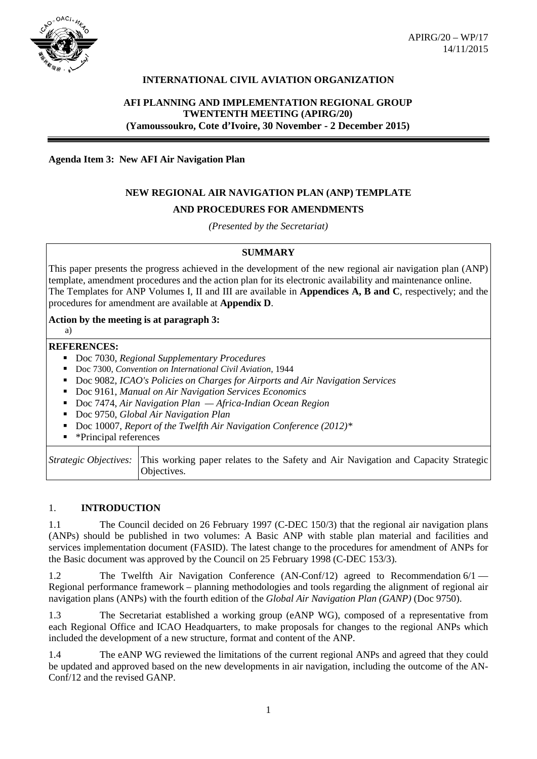

# **INTERNATIONAL CIVIL AVIATION ORGANIZATION**

# **AFI PLANNING AND IMPLEMENTATION REGIONAL GROUP TWENTENTH MEETING (APIRG/20) (Yamoussoukro, Cote d'Ivoire, 30 November - 2 December 2015)**

**Agenda Item 3: New AFI Air Navigation Plan** 

# **NEW REGIONAL AIR NAVIGATION PLAN (ANP) TEMPLATE**

# **AND PROCEDURES FOR AMENDMENTS**

*(Presented by the Secretariat)*

## **SUMMARY**

This paper presents the progress achieved in the development of the new regional air navigation plan (ANP) template, amendment procedures and the action plan for its electronic availability and maintenance online. The Templates for ANP Volumes I, II and III are available in **Appendices A, B and C**, respectively; and the procedures for amendment are available at **Appendix D**.

#### **Action by the meeting is at paragraph 3:**

#### **REFERENCES:**

a)

- Doc 7030, *Regional Supplementary Procedures*
- Doc 7300, *Convention on International Civil Aviation*, 1944
- Doc 9082, *ICAO's Policies on Charges for Airports and Air Navigation Services*
- Doc 9161, *Manual on Air Navigation Services Economics*
- Doc 7474, *Air Navigation Plan Africa-Indian Ocean Region*
- Doc 9750, *Global Air Navigation Plan*
- Doc 10007, *Report of the Twelfth Air Navigation Conference (2012)\**
- **•** \*Principal references

| Strategic Objectives: This working paper relates to the Safety and Air Navigation and Capacity Strategic |
|----------------------------------------------------------------------------------------------------------|
| Objectives.                                                                                              |

#### 1. **INTRODUCTION**

1.1 The Council decided on 26 February 1997 (C-DEC 150/3) that the regional air navigation plans (ANPs) should be published in two volumes: A Basic ANP with stable plan material and facilities and services implementation document (FASID). The latest change to the procedures for amendment of ANPs for the Basic document was approved by the Council on 25 February 1998 (C-DEC 153/3).

1.2 The Twelfth Air Navigation Conference (AN-Conf/12) agreed to Recommendation 6/1 — Regional performance framework – planning methodologies and tools regarding the alignment of regional air navigation plans (ANPs) with the fourth edition of the *Global Air Navigation Plan (GANP)* (Doc 9750).

1.3 The Secretariat established a working group (eANP WG), composed of a representative from each Regional Office and ICAO Headquarters, to make proposals for changes to the regional ANPs which included the development of a new structure, format and content of the ANP.

1.4 The eANP WG reviewed the limitations of the current regional ANPs and agreed that they could be updated and approved based on the new developments in air navigation, including the outcome of the AN-Conf/12 and the revised GANP.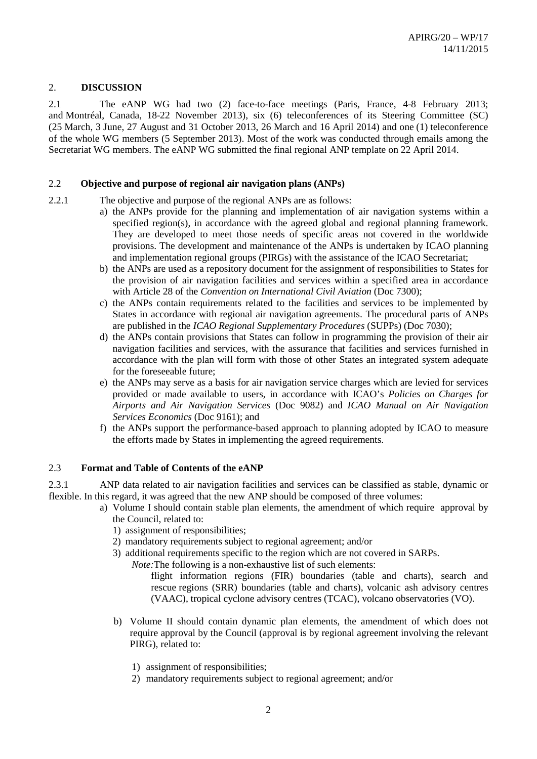#### 2. **DISCUSSION**

2.1 The eANP WG had two (2) face-to-face meetings (Paris, France, 4-8 February 2013; and Montréal, Canada, 18-22 November 2013), six (6) teleconferences of its Steering Committee (SC) (25 March, 3 June, 27 August and 31 October 2013, 26 March and 16 April 2014) and one (1) teleconference of the whole WG members (5 September 2013). Most of the work was conducted through emails among the Secretariat WG members. The eANP WG submitted the final regional ANP template on 22 April 2014.

#### 2.2 **Objective and purpose of regional air navigation plans (ANPs)**

- 2.2.1 The objective and purpose of the regional ANPs are as follows:
	- a) the ANPs provide for the planning and implementation of air navigation systems within a specified region(s), in accordance with the agreed global and regional planning framework. They are developed to meet those needs of specific areas not covered in the worldwide provisions. The development and maintenance of the ANPs is undertaken by ICAO planning and implementation regional groups (PIRGs) with the assistance of the ICAO Secretariat;
	- b) the ANPs are used as a repository document for the assignment of responsibilities to States for the provision of air navigation facilities and services within a specified area in accordance with Article 28 of the *Convention on International Civil Aviation* (Doc 7300);
	- c) the ANPs contain requirements related to the facilities and services to be implemented by States in accordance with regional air navigation agreements. The procedural parts of ANPs are published in the *ICAO Regional Supplementary Procedures* (SUPPs) (Doc 7030);
	- d) the ANPs contain provisions that States can follow in programming the provision of their air navigation facilities and services, with the assurance that facilities and services furnished in accordance with the plan will form with those of other States an integrated system adequate for the foreseeable future;
	- e) the ANPs may serve as a basis for air navigation service charges which are levied for services provided or made available to users, in accordance with ICAO's *Policies on Charges for Airports and Air Navigation Services* (Doc 9082) and *ICAO Manual on Air Navigation Services Economics* (Doc 9161); and
	- f) the ANPs support the performance-based approach to planning adopted by ICAO to measure the efforts made by States in implementing the agreed requirements.

#### 2.3 **Format and Table of Contents of the eANP**

2.3.1 ANP data related to air navigation facilities and services can be classified as stable, dynamic or flexible. In this regard, it was agreed that the new ANP should be composed of three volumes:

- a) Volume I should contain stable plan elements, the amendment of which require approval by the Council, related to:
	- 1) assignment of responsibilities;
	- 2) mandatory requirements subject to regional agreement; and/or
	- 3) additional requirements specific to the region which are not covered in SARPs.
		- *Note:*The following is a non-exhaustive list of such elements:

flight information regions (FIR) boundaries (table and charts), search and rescue regions (SRR) boundaries (table and charts), volcanic ash advisory centres (VAAC), tropical cyclone advisory centres (TCAC), volcano observatories (VO).

- b) Volume II should contain dynamic plan elements, the amendment of which does not require approval by the Council (approval is by regional agreement involving the relevant PIRG), related to:
	- 1) assignment of responsibilities;
	- 2) mandatory requirements subject to regional agreement; and/or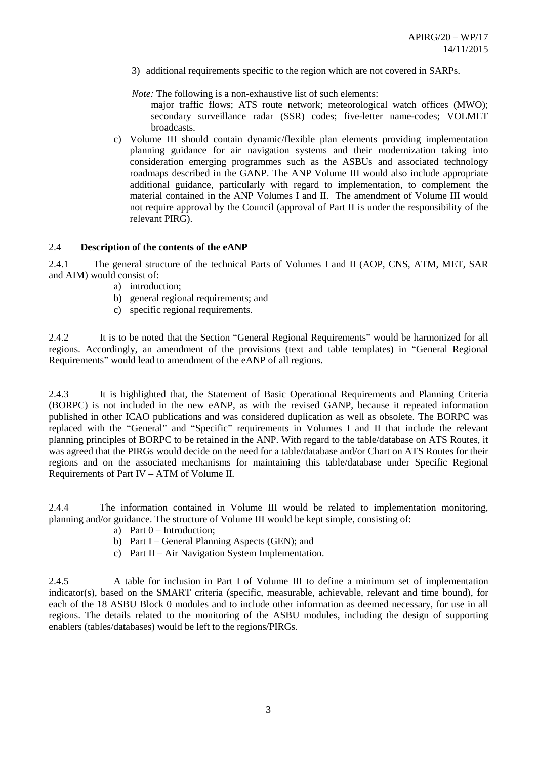3) additional requirements specific to the region which are not covered in SARPs.

*Note:* The following is a non-exhaustive list of such elements:

major traffic flows; ATS route network; meteorological watch offices (MWO); secondary surveillance radar (SSR) codes; five-letter name-codes; VOLMET broadcasts.

c) Volume III should contain dynamic/flexible plan elements providing implementation planning guidance for air navigation systems and their modernization taking into consideration emerging programmes such as the ASBUs and associated technology roadmaps described in the GANP. The ANP Volume III would also include appropriate additional guidance, particularly with regard to implementation, to complement the material contained in the ANP Volumes I and II. The amendment of Volume III would not require approval by the Council (approval of Part II is under the responsibility of the relevant PIRG).

#### 2.4 **Description of the contents of the eANP**

2.4.1 The general structure of the technical Parts of Volumes I and II (AOP, CNS, ATM, MET, SAR and AIM) would consist of:

- a) introduction;
- b) general regional requirements; and
- c) specific regional requirements.

2.4.2 It is to be noted that the Section "General Regional Requirements" would be harmonized for all regions. Accordingly, an amendment of the provisions (text and table templates) in "General Regional Requirements" would lead to amendment of the eANP of all regions.

2.4.3 It is highlighted that, the Statement of Basic Operational Requirements and Planning Criteria (BORPC) is not included in the new eANP, as with the revised GANP, because it repeated information published in other ICAO publications and was considered duplication as well as obsolete. The BORPC was replaced with the "General" and "Specific" requirements in Volumes I and II that include the relevant planning principles of BORPC to be retained in the ANP. With regard to the table/database on ATS Routes, it was agreed that the PIRGs would decide on the need for a table/database and/or Chart on ATS Routes for their regions and on the associated mechanisms for maintaining this table/database under Specific Regional Requirements of Part IV – ATM of Volume II.

2.4.4 The information contained in Volume III would be related to implementation monitoring, planning and/or guidance. The structure of Volume III would be kept simple, consisting of:

- a) Part 0 Introduction;
- b) Part I General Planning Aspects (GEN); and
- c) Part II Air Navigation System Implementation.

2.4.5 A table for inclusion in Part I of Volume III to define a minimum set of implementation indicator(s), based on the SMART criteria (specific, measurable, achievable, relevant and time bound), for each of the 18 ASBU Block 0 modules and to include other information as deemed necessary, for use in all regions. The details related to the monitoring of the ASBU modules, including the design of supporting enablers (tables/databases) would be left to the regions/PIRGs.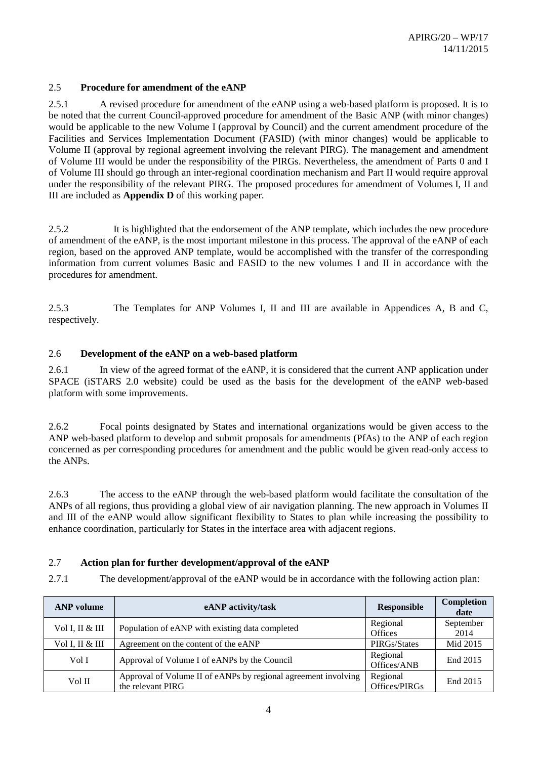## 2.5 **Procedure for amendment of the eANP**

2.5.1 A revised procedure for amendment of the eANP using a web-based platform is proposed. It is to be noted that the current Council-approved procedure for amendment of the Basic ANP (with minor changes) would be applicable to the new Volume I (approval by Council) and the current amendment procedure of the Facilities and Services Implementation Document (FASID) (with minor changes) would be applicable to Volume II (approval by regional agreement involving the relevant PIRG). The management and amendment of Volume III would be under the responsibility of the PIRGs. Nevertheless, the amendment of Parts 0 and I of Volume III should go through an inter-regional coordination mechanism and Part II would require approval under the responsibility of the relevant PIRG. The proposed procedures for amendment of Volumes I, II and III are included as **Appendix D** of this working paper.

2.5.2 It is highlighted that the endorsement of the ANP template, which includes the new procedure of amendment of the eANP, is the most important milestone in this process. The approval of the eANP of each region, based on the approved ANP template, would be accomplished with the transfer of the corresponding information from current volumes Basic and FASID to the new volumes I and II in accordance with the procedures for amendment.

2.5.3 The Templates for ANP Volumes I, II and III are available in Appendices A, B and C, respectively.

#### 2.6 **Development of the eANP on a web-based platform**

2.6.1 In view of the agreed format of the eANP, it is considered that the current ANP application under SPACE (iSTARS 2.0 website) could be used as the basis for the development of the eANP web-based platform with some improvements.

2.6.2 Focal points designated by States and international organizations would be given access to the ANP web-based platform to develop and submit proposals for amendments (PfAs) to the ANP of each region concerned as per corresponding procedures for amendment and the public would be given read-only access to the ANPs.

2.6.3 The access to the eANP through the web-based platform would facilitate the consultation of the ANPs of all regions, thus providing a global view of air navigation planning. The new approach in Volumes II and III of the eANP would allow significant flexibility to States to plan while increasing the possibility to enhance coordination, particularly for States in the interface area with adjacent regions.

# 2.7 **Action plan for further development/approval of the eANP**

2.7.1 The development/approval of the eANP would be in accordance with the following action plan:

| <b>ANP</b> volume | eANP activity/task                                                                  | <b>Responsible</b>         | Completion<br>date |
|-------------------|-------------------------------------------------------------------------------------|----------------------------|--------------------|
| Vol I, II & III   | Population of eANP with existing data completed                                     | Regional<br><b>Offices</b> | September<br>2014  |
| Vol I, II & III   | Agreement on the content of the eANP                                                | PIRGs/States               | Mid 2015           |
| Vol I             | Approval of Volume I of eANPs by the Council                                        | Regional<br>Offices/ANB    | End 2015           |
| Vol II            | Approval of Volume II of eANPs by regional agreement involving<br>the relevant PIRG | Regional<br>Offices/PIRGs  | End 2015           |